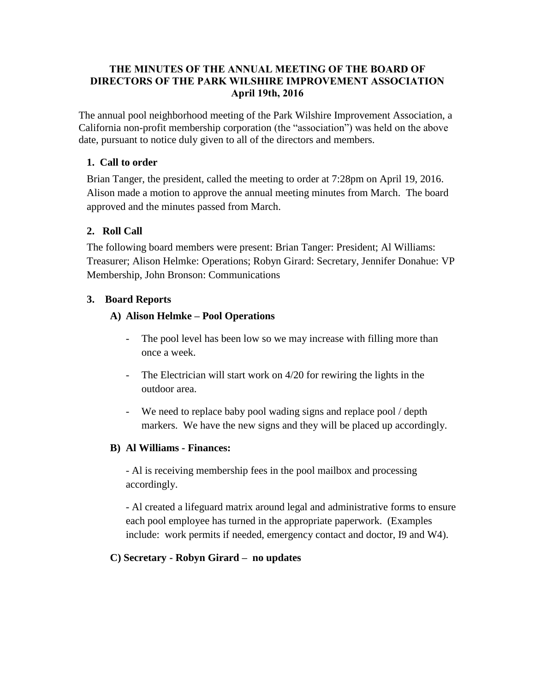#### **THE MINUTES OF THE ANNUAL MEETING OF THE BOARD OF DIRECTORS OF THE PARK WILSHIRE IMPROVEMENT ASSOCIATION April 19th, 2016**

The annual pool neighborhood meeting of the Park Wilshire Improvement Association, a California non-profit membership corporation (the "association") was held on the above date, pursuant to notice duly given to all of the directors and members.

### **1. Call to order**

Brian Tanger, the president, called the meeting to order at 7:28pm on April 19, 2016. Alison made a motion to approve the annual meeting minutes from March. The board approved and the minutes passed from March.

## **2. Roll Call**

The following board members were present: Brian Tanger: President; Al Williams: Treasurer; Alison Helmke: Operations; Robyn Girard: Secretary, Jennifer Donahue: VP Membership, John Bronson: Communications

## **3. Board Reports**

## **A) Alison Helmke – Pool Operations**

- The pool level has been low so we may increase with filling more than once a week.
- The Electrician will start work on 4/20 for rewiring the lights in the outdoor area.
- We need to replace baby pool wading signs and replace pool / depth markers. We have the new signs and they will be placed up accordingly.

#### **B) Al Williams - Finances:**

- Al is receiving membership fees in the pool mailbox and processing accordingly.

- Al created a lifeguard matrix around legal and administrative forms to ensure each pool employee has turned in the appropriate paperwork. (Examples include: work permits if needed, emergency contact and doctor, I9 and W4).

#### **C) Secretary - Robyn Girard – no updates**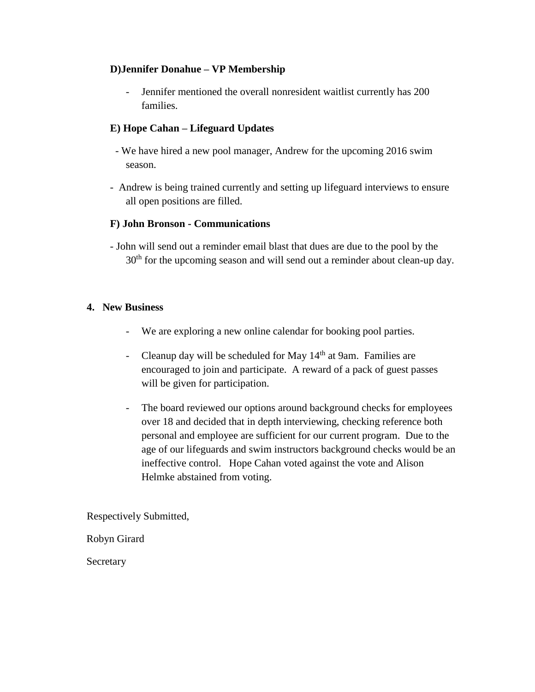### **D)Jennifer Donahue – VP Membership**

Jennifer mentioned the overall nonresident waitlist currently has 200 families.

## **E) Hope Cahan – Lifeguard Updates**

- We have hired a new pool manager, Andrew for the upcoming 2016 swim season.
- Andrew is being trained currently and setting up lifeguard interviews to ensure all open positions are filled.

#### **F) John Bronson - Communications**

- John will send out a reminder email blast that dues are due to the pool by the 30<sup>th</sup> for the upcoming season and will send out a reminder about clean-up day.

#### **4. New Business**

- We are exploring a new online calendar for booking pool parties.
- Cleanup day will be scheduled for May  $14<sup>th</sup>$  at 9am. Families are encouraged to join and participate. A reward of a pack of guest passes will be given for participation.
- The board reviewed our options around background checks for employees over 18 and decided that in depth interviewing, checking reference both personal and employee are sufficient for our current program. Due to the age of our lifeguards and swim instructors background checks would be an ineffective control. Hope Cahan voted against the vote and Alison Helmke abstained from voting.

Respectively Submitted,

Robyn Girard

Secretary